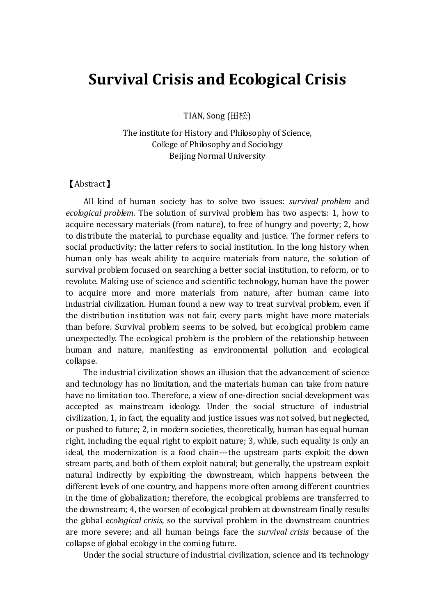## Survival Crisis and Ecological Crisis

TIAN, Song (田松)

The institute for History and Philosophy of Science, College of Philosophy and Sociology Beijing Normal University

### 【Abstract】

All kind of human society has to solve two issues: survival problem and ecological problem. The solution of survival problem has two aspects: 1, how to acquire necessary materials (from nature), to free of hungry and poverty; 2, how to distribute the material, to purchase equality and justice. The former refers to social productivity; the latter refers to social institution. In the long history when human only has weak ability to acquire materials from nature, the solution of survival problem focused on searching a better social institution, to reform, or to revolute. Making use of science and scientific technology, human have the power to acquire more and more materials from nature, after human came into industrial civilization. Human found a new way to treat survival problem, even if the distribution institution was not fair, every parts might have more materials than before. Survival problem seems to be solved, but ecological problem came unexpectedly. The ecological problem is the problem of the relationship between human and nature, manifesting as environmental pollution and ecological collapse.

The industrial civilization shows an illusion that the advancement of science and technology has no limitation, and the materials human can take from nature have no limitation too. Therefore, a view of one-direction social development was accepted as mainstream ideology. Under the social structure of industrial civilization, 1, in fact, the equality and justice issues was not solved, but neglected, or pushed to future; 2, in modern societies, theoretically, human has equal human right, including the equal right to exploit nature; 3, while, such equality is only an ideal, the modernization is a food chain---the upstream parts exploit the down stream parts, and both of them exploit natural; but generally, the upstream exploit natural indirectly by exploiting the downstream, which happens between the different levels of one country, and happens more often among different countries in the time of globalization; therefore, the ecological problems are transferred to the downstream; 4, the worsen of ecological problem at downstream finally results the global ecological crisis, so the survival problem in the downstream countries are more severe; and all human beings face the survival crisis because of the collapse of global ecology in the coming future.

Under the social structure of industrial civilization, science and its technology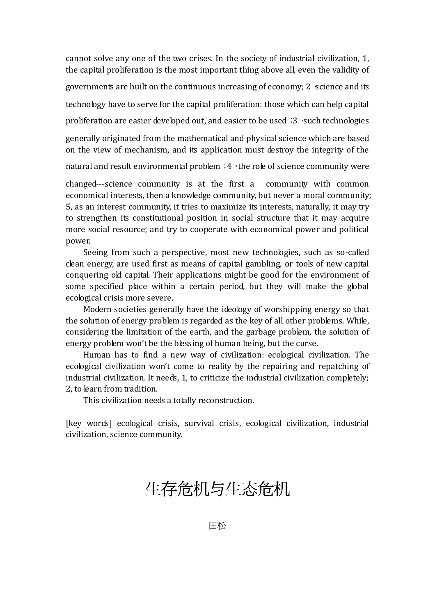cannot solve any one of the two crises. In the society of industrial civilization, 1, the capital proliferation is the most important thing above all, even the validity of governments are built on the continuous increasing of economy;  $2$  science and its technology have to serve for the capital proliferation: those which can help capital proliferation are easier developed out, and easier to be used; 3, such technologies

generally originated from the mathematical and physical science which are based on the view of mechanism, and its application must destroy the integrity of the

natural and result environmental problem  $:4$  , the role of science community were

changed---science community is at the first a community with common economical interests, then a knowledge community, but never a moral community; 5, as an interest community, it tries to maximize its interests, naturally, it may try to strengthen its constitutional position in social structure that it may acquire more social resource; and try to cooperate with economical power and political power.

Seeing from such a perspective, most new technologies, such as so-called clean energy, are used first as means of capital gambling, or tools of new capital conquering old capital. Their applications might be good for the environment of some specified place within a certain period, but they will make the global ecological crisis more severe.

Modern societies generally have the ideology of worshipping energy so that the solution of energy problem is regarded as the key of all other problems. While, considering the limitation of the earth, and the garbage problem, the solution of energy problem won't be the blessing of human being, but the curse.

Human has to find a new way of civilization: ecological civilization. The ecological civilization won't come to reality by the repairing and repatching of industrial civilization. It needs, 1, to criticize the industrial civilization completely; 2, to learn from tradition.

This civilization needs a totally reconstruction.

[key words] ecological crisis, survival crisis, ecological civilization, industrial civilization, science community.

# 生存危机与生态危机

田松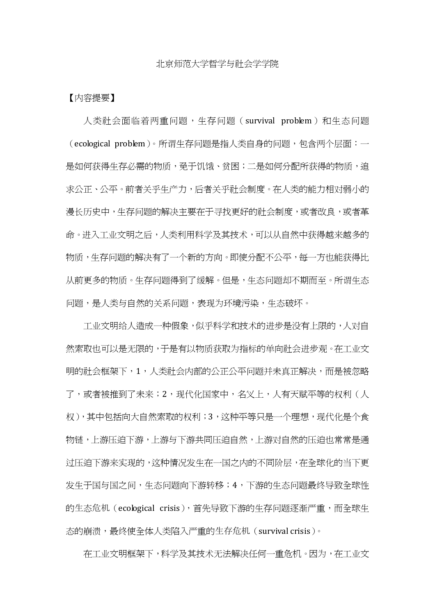#### 北京师范大学哲学与社会学学院

### 【内容提要】

人类社会面临着两重问题,生存问题(survival problem)和生态问题 (ecological problem)。所谓生存问题是指人类自身的问题,包含两个层面:一 是如何获得生存必需的物质, 免于饥饿、贫困; 二是如何分配所获得的物质, 追 求公正、公平。前者关乎生产力,后者关乎社会制度。在人类的能力相对弱小的 漫长历史中,生存问题的解决主要在于寻找更好的社会制度,或者改良,或者革 命。进入工业文明之后,人类利用科学及其技术,可以从自然中获得越来越多的 物质,生存问题的解决有了一个新的方向。即使分配不公平,每一方也能获得比 从前更多的物质。生存问题得到了缓解。但是,生态问题却不期而至。所谓生态 问题,是人类与自然的关系问题,表现为环境污染,生态破坏。

工业文明给人造成一种假象,似乎科学和技术的进步是没有上限的,人对自 然索取也可以是无限的,于是有以物质获取为指标的单向社会进步观。在工业文 明的社会框架下,1,人类社会内部的公正公平问题并未真正解决,而是被忽略 了,或者被推到了未来;2,现代化国家中,名义上,人有天赋平等的权利(人 权),其中包括向大自然索取的权利;3,这种平等只是一个理想,现代化是个食 物链,上游压迫下游,上游与下游共同压迫自然,上游对自然的压迫也常常是通 过压迫下游来实现的,这种情况发生在一国之内的不同阶层,在全球化的当下更 发生于国与国之间,生态问题向下游转移;4,下游的生态问题最终导致全球性 的生态危机 (ecological crisis),首先导致下游的生存问题逐渐严重,而全球生 态的崩溃,最终使全体人类陷入严重的生存危机(survival crisis)。

在工业文明框架下,科学及其技术无法解决任何一重危机。因为,在工业文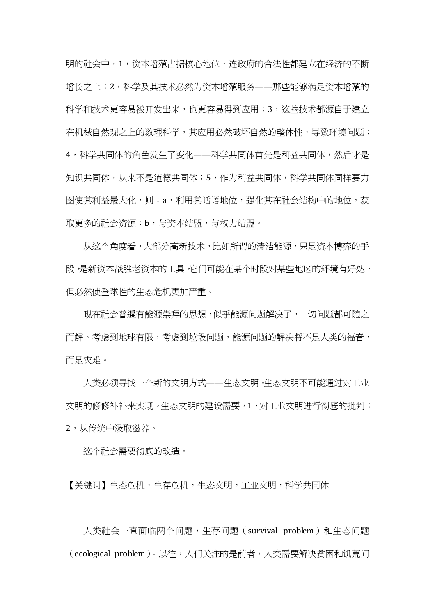明的社会中,1,资本增殖占据核心地位,连政府的合法性都建立在经济的不断 增长之上;2,科学及其技术必然为资本增殖服务——那些能够满足资本增殖的 科学和技术更容易被开发出来,也更容易得到应用;3,这些技术都源自于建立 在机械自然观之上的数理科学,其应用必然破坏自然的整体性,导致环境问题; 4,科学共同体的角色发生了变化——科学共同体首先是利益共同体,然后才是 知识共同体,从来不是道德共同体;5,作为利益共同体,科学共同体同样要力 图使其利益最大化,则:a,利用其话语地位,强化其在社会结构中的地位,获 取更多的社会资源;b,与资本结盟,与权力结盟。

从这个角度看,大部分高新技术,比如所谓的清洁能源,只是资本博弈的手 段,是新资本战胜老资本的工具,它们可能在某个时段对某些地区的环境有好处, 但必然使全球性的生态危机更加严重。

现在社会普遍有能源崇拜的思想,似乎能源问题解决了,一切问题都可随之 而解。考虑到地球有限,考虑到垃圾问题,能源问题的解决将不是人类的福音, 而是灾难。

人类必须寻找一个新的文明方式——生态文明。生态文明不可能通过对工业 文明的修修补补来实现。生态文明的建设需要,1,对工业文明进行彻底的批判; 2,从传统中汲取滋养。

这个社会需要彻底的改造。

【关键词】生态危机,生存危机,生态文明,工业文明,科学共同体

人类社会一直面临两个问题,生存问题(survival problem)和生态问题 (ecological problem)。以往,人们关注的是前者,人类需要解决贫困和饥荒问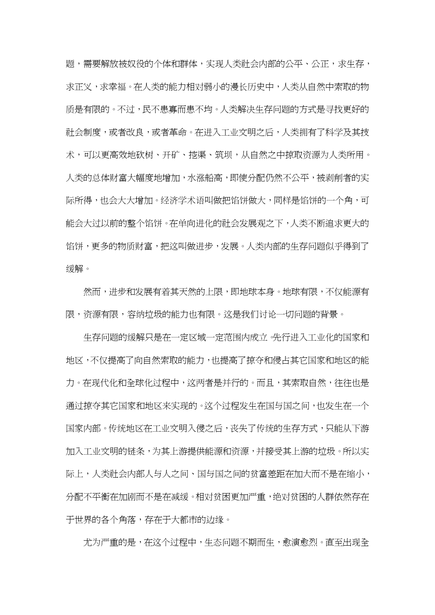题,需要解放被奴役的个体和群体,实现人类社会内部的公平、公正,求生存, 求正义,求幸福。在人类的能力相对弱小的漫长历史中,人类从自然中索取的物 质是有限的。不过,民不患寡而患不均。人类解决生存问题的方式是寻找更好的 社会制度,或者改良,或者革命。在进入工业文明之后,人类拥有了科学及其技 术,可以更高效地砍树、开矿、挖渠、筑坝,从自然之中掠取资源为人类所用。 人类的总体财富大幅度地增加,水涨船高,即使分配仍然不公平,被剥削者的实 际所得,也会大大增加。经济学术语叫做把馅饼做大,同样是馅饼的一个角,可 能会大过以前的整个馅饼。在单向进化的社会发展观之下,人类不断追求更大的 馅饼,更多的物质财富,把这叫做进步,发展。人类内部的生存问题似乎得到了 缓解。

然而,进步和发展有着其天然的上限,即地球本身。地球有限,不仅能源有 限,资源有限,容纳垃圾的能力也有限。这是我们讨论一切问题的背景。

生存问题的缓解只是在一定区域一定范围内成立。先行进入工业化的国家和 地区,不仅提高了向自然索取的能力,也提高了掠夺和侵占其它国家和地区的能 力。在现代化和全球化过程中,这两者是并行的。而且,其索取自然,往往也是 通过掠夺其它国家和地区来实现的。这个过程发生在国与国之间,也发生在一个 国家内部。传统地区在工业文明入侵之后,丧失了传统的生存方式,只能从下游 加入工业文明的链条,为其上游提供能源和资源,并接受其上游的垃圾。所以实 际上,人类社会内部人与人之间、国与国之间的贫富差距在加大而不是在缩小, 分配不平衡在加剧而不是在减缓。相对贫困更加严重,绝对贫困的人群依然存在 于世界的各个角落,存在于大都市的边缘。

尤为严重的是,在这个过程中,生态问题不期而生,愈演愈烈。直至出现全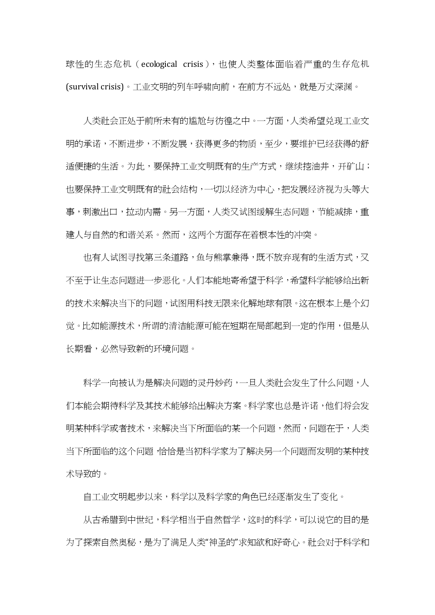球性的生态危机 (ecological crisis),也使人类整体面临着严重的生存危机 (survival crisis)。工业文明的列车呼啸向前,在前方不远处,就是万丈深渊。

人类社会正处于前所未有的尴尬与彷徨之中。一方面,人类希望兑现工业文 明的承诺,不断进步,不断发展,获得更多的物质,至少,要维护已经获得的舒 适便捷的生活。为此,要保持工业文明既有的生产方式,继续挖油井,开矿山; 也要保持工业文明既有的社会结构,一切以经济为中心,把发展经济视为头等大 事,刺激出口,拉动内需。另一方面,人类又试图缓解生态问题,节能减排,重 建人与自然的和谐关系。然而,这两个方面存在着根本性的冲突。

也有人试图寻找第三条道路,鱼与熊掌兼得,既不放弃现有的生活方式,又 不至于让生态问题进一步恶化。人们本能地寄希望于科学,希望科学能够给出新 的技术来解决当下的问题,试图用科技无限来化解地球有限。这在根本上是个幻 觉。比如能源技术,所谓的清洁能源可能在短期在局部起到一定的作用,但是从 长期看,必然导致新的环境问题。

科学一向被认为是解决问题的灵丹妙药,一旦人类社会发生了什么问题,人 们本能会期待科学及其技术能够给出解决方案。科学家也总是许诺,他们将会发 明某种科学或者技术,来解决当下所面临的某一个问题,然而,问题在于,人类 当下所面临的这个问题,恰恰是当初科学家为了解决另一个问题而发明的某种技 术导致的。

自工业文明起步以来,科学以及科学家的角色已经逐渐发生了变化。

从古希腊到中世纪,科学相当于自然哲学,这时的科学,可以说它的目的是 为了探索自然奥秘,是为了满足人类"神圣的"求知欲和好奇心。社会对于科学和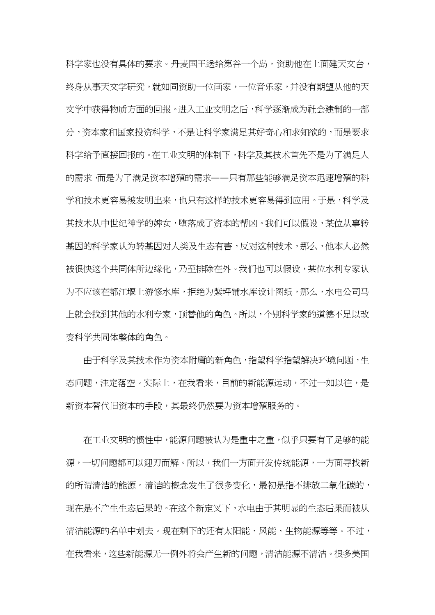科学家也没有具体的要求。丹麦国王送给第谷一个岛,资助他在上面建天文台, 终身从事天文学研究,就如同资助一位画家,一位音乐家,并没有期望从他的天 文学中获得物质方面的回报。进入工业文明之后,科学逐渐成为社会建制的一部 分,资本家和国家投资科学,不是让科学家满足其好奇心和求知欲的,而是要求 科学给予直接回报的。在工业文明的体制下,科学及其技术首先不是为了满足人 的需求,而是为了满足资本增殖的需求——只有那些能够满足资本迅速增殖的科 学和技术更容易被发明出来,也只有这样的技术更容易得到应用。于是,科学及 其技术从中世纪神学的婢女,堕落成了资本的帮凶。我们可以假设,某位从事转 基因的科学家认为转基因对人类及生态有害,反对这种技术,那么,他本人必然 被很快这个共同体所边缘化,乃至排除在外。我们也可以假设,某位水利专家认 为不应该在都江堰上游修水库,拒绝为紫坪铺水库设计图纸,那么,水电公司马 上就会找到其他的水利专家,顶替他的角色。所以,个别科学家的道德不足以改 变科学共同体整体的角色。

由于科学及其技术作为资本附庸的新角色,指望科学指望解决环境问题,生 态问题,注定落空。实际上,在我看来,目前的新能源运动,不过一如以往,是 新资本替代旧资本的手段,其最终仍然要为资本增殖服务的。

在工业文明的惯性中,能源问题被认为是重中之重,似乎只要有了足够的能 源,一切问题都可以迎刃而解。所以,我们一方面开发传统能源,一方面寻找新 的所谓清洁的能源。清洁的概念发生了很多变化,最初是指不排放二氧化碳的, 现在是不产生生态后果的。在这个新定义下,水电由于其明显的生态后果而被从 清洁能源的名单中划去。现在剩下的还有太阳能、风能、生物能源等等。不过, 在我看来,这些新能源无一例外将会产生新的问题,清洁能源不清洁。很多美国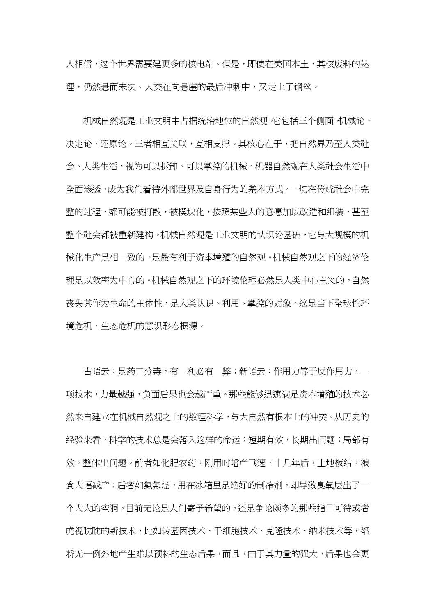人相信,这个世界需要建更多的核电站。但是,即使在美国本土,其核废料的处 理,仍然悬而未决。人类在向悬崖的最后冲刺中,又走上了钢丝。

机械自然观是工业文明中占据统治地位的自然观。它包括三个侧面 机械论、 决定论、还原论。三者相互关联,互相支撑。其核心在于,把自然界乃至人类社 会、人类生活,视为可以拆卸、可以掌控的机械。机器自然观在人类社会生活中 全面渗透,成为我们看待外部世界及自身行为的基本方式。一切在传统社会中完 整的过程,都可能被打散,被模块化,按照某些人的意愿加以改造和组装,甚至 整个社会都被重新建构。机械自然观是工业文明的认识论基础,它与大规模的机 械化生产是相一致的,是最有利于资本增殖的自然观。机械自然观之下的经济伦 理是以效率为中心的。机械自然观之下的环境伦理必然是人类中心主义的,自然 丧失其作为生命的主体性,是人类认识、利用、掌控的对象。这是当下全球性环 境危机、生态危机的意识形态根源。

古语云:是药三分毒,有一利必有一弊;新语云:作用力等于反作用力。一 项技术,力量越强,负面后果也会越严重。那些能够迅速满足资本增殖的技术必 然来自建立在机械自然观之上的数理科学,与大自然有根本上的冲突。从历史的 经验来看,科学的技术总是会落入这样的命运:短期有效,长期出问题;局部有 效,整体出问题。前者如化肥农药,刚用时增产飞速,十几年后,土地板结,粮 食大幅减产;后者如氯氟烃,用在冰箱里是绝好的制冷剂,却导致臭氧层出了一 个大大的空洞。目前无论是人们寄予希望的,还是争论颇多的那些指日可待或者 虎视眈眈的新技术,比如转基因技术、干细胞技术、克隆技术、纳米技术等,都 将无一例外地产生难以预料的生态后果,而且,由于其力量的强大,后果也会更